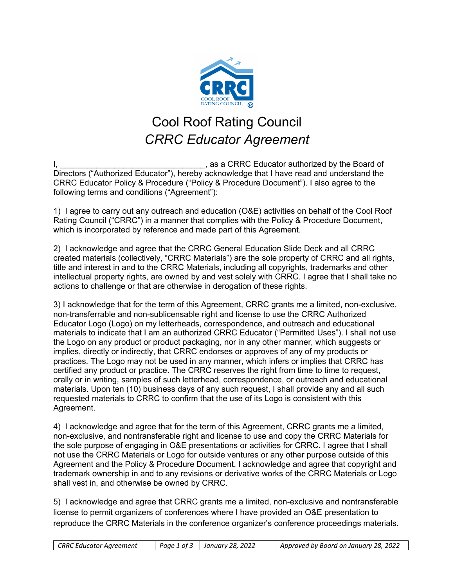

## Cool Roof Rating Council *CRRC Educator Agreement*

I, **I, Equator 2**, as a CRRC Educator authorized by the Board of Directors ("Authorized Educator"), hereby acknowledge that I have read and understand the CRRC Educator Policy & Procedure ("Policy & Procedure Document"). I also agree to the following terms and conditions ("Agreement"):

1) I agree to carry out any outreach and education (O&E) activities on behalf of the Cool Roof Rating Council ("CRRC") in a manner that complies with the Policy & Procedure Document, which is incorporated by reference and made part of this Agreement.

2) I acknowledge and agree that the CRRC General Education Slide Deck and all CRRC created materials (collectively, "CRRC Materials") are the sole property of CRRC and all rights, title and interest in and to the CRRC Materials, including all copyrights, trademarks and other intellectual property rights, are owned by and vest solely with CRRC. I agree that I shall take no actions to challenge or that are otherwise in derogation of these rights.

3) I acknowledge that for the term of this Agreement, CRRC grants me a limited, non-exclusive, non-transferrable and non-sublicensable right and license to use the CRRC Authorized Educator Logo (Logo) on my letterheads, correspondence, and outreach and educational materials to indicate that I am an authorized CRRC Educator ("Permitted Uses"). I shall not use the Logo on any product or product packaging, nor in any other manner, which suggests or implies, directly or indirectly, that CRRC endorses or approves of any of my products or practices. The Logo may not be used in any manner, which infers or implies that CRRC has certified any product or practice. The CRRC reserves the right from time to time to request, orally or in writing, samples of such letterhead, correspondence, or outreach and educational materials. Upon ten (10) business days of any such request, I shall provide any and all such requested materials to CRRC to confirm that the use of its Logo is consistent with this Agreement.

4) I acknowledge and agree that for the term of this Agreement, CRRC grants me a limited, non-exclusive, and nontransferable right and license to use and copy the CRRC Materials for the sole purpose of engaging in O&E presentations or activities for CRRC. I agree that I shall not use the CRRC Materials or Logo for outside ventures or any other purpose outside of this Agreement and the Policy & Procedure Document. I acknowledge and agree that copyright and trademark ownership in and to any revisions or derivative works of the CRRC Materials or Logo shall vest in, and otherwise be owned by CRRC.

5) I acknowledge and agree that CRRC grants me a limited, non-exclusive and nontransferable license to permit organizers of conferences where I have provided an O&E presentation to reproduce the CRRC Materials in the conference organizer's conference proceedings materials.

*CRRC Educator Agreement Page 1 of 3 January 28, 2022 Approved by Board on January 28, 2022*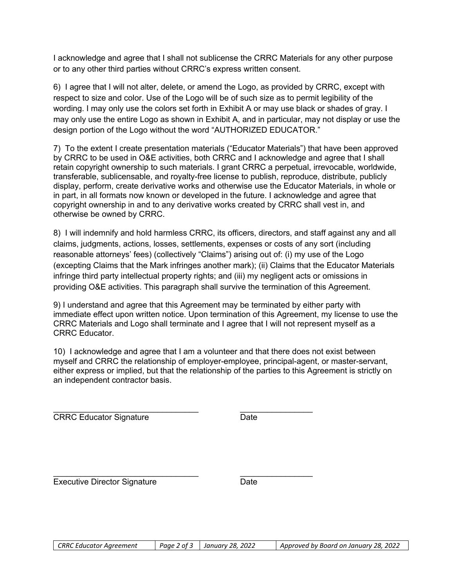I acknowledge and agree that I shall not sublicense the CRRC Materials for any other purpose or to any other third parties without CRRC's express written consent.

6) I agree that I will not alter, delete, or amend the Logo, as provided by CRRC, except with respect to size and color. Use of the Logo will be of such size as to permit legibility of the wording. I may only use the colors set forth in Exhibit A or may use black or shades of gray. I may only use the entire Logo as shown in Exhibit A, and in particular, may not display or use the design portion of the Logo without the word "AUTHORIZED EDUCATOR."

7) To the extent I create presentation materials ("Educator Materials") that have been approved by CRRC to be used in O&E activities, both CRRC and I acknowledge and agree that I shall retain copyright ownership to such materials. I grant CRRC a perpetual, irrevocable, worldwide, transferable, sublicensable, and royalty-free license to publish, reproduce, distribute, publicly display, perform, create derivative works and otherwise use the Educator Materials, in whole or in part, in all formats now known or developed in the future. I acknowledge and agree that copyright ownership in and to any derivative works created by CRRC shall vest in, and otherwise be owned by CRRC.

8) I will indemnify and hold harmless CRRC, its officers, directors, and staff against any and all claims, judgments, actions, losses, settlements, expenses or costs of any sort (including reasonable attorneys' fees) (collectively "Claims") arising out of: (i) my use of the Logo (excepting Claims that the Mark infringes another mark); (ii) Claims that the Educator Materials infringe third party intellectual property rights; and (iii) my negligent acts or omissions in providing O&E activities. This paragraph shall survive the termination of this Agreement.

9) I understand and agree that this Agreement may be terminated by either party with immediate effect upon written notice. Upon termination of this Agreement, my license to use the CRRC Materials and Logo shall terminate and I agree that I will not represent myself as a CRRC Educator.

10) I acknowledge and agree that I am a volunteer and that there does not exist between myself and CRRC the relationship of employer-employee, principal-agent, or master-servant, either express or implied, but that the relationship of the parties to this Agreement is strictly on an independent contractor basis.

\_\_\_\_\_\_\_\_\_\_\_\_\_\_\_\_\_\_\_\_\_\_\_\_\_\_\_\_\_\_\_\_ \_\_\_\_\_\_\_\_\_\_\_\_\_\_\_\_

CRRC Educator Signature **Date** Date

\_\_\_\_\_\_\_\_\_\_\_\_\_\_\_\_\_\_\_\_\_\_\_\_\_\_\_\_\_\_\_\_ \_\_\_\_\_\_\_\_\_\_\_\_\_\_\_\_ Executive Director Signature **Date** Date